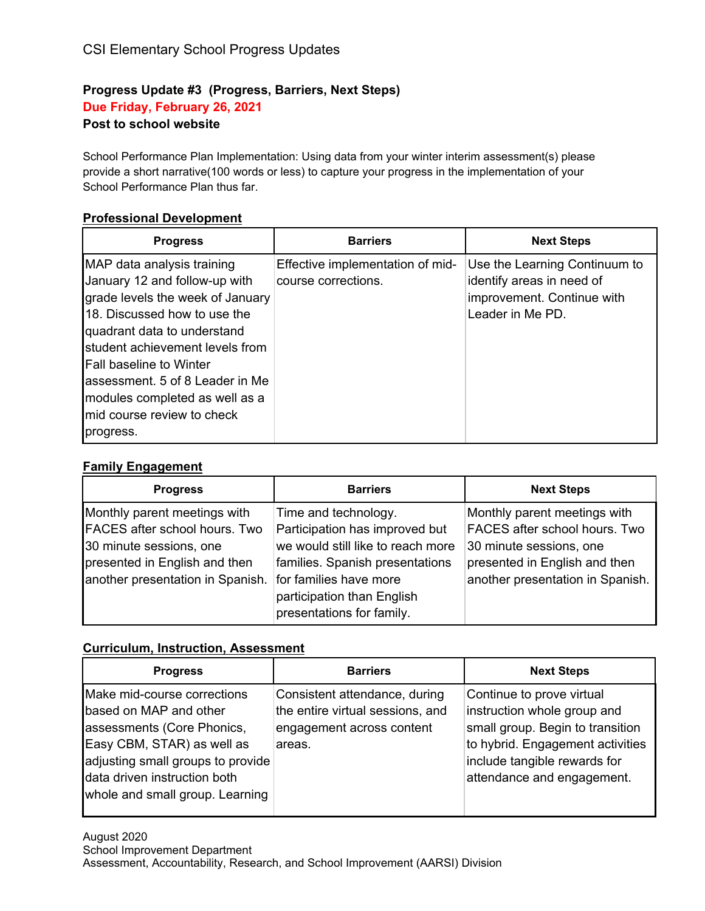# **Progress Update #3 (Progress, Barriers, Next Steps) Due Friday, February 26, 2021**

## **Post to school website**

School Performance Plan Implementation: Using data from your winter interim assessment(s) please provide a short narrative(100 words or less) to capture your progress in the implementation of your School Performance Plan thus far.

### **Professional Development**

| <b>Progress</b>                                                                                                                                                                                                                                                                                                                                      | <b>Barriers</b>                                         | <b>Next Steps</b>                                                                                            |
|------------------------------------------------------------------------------------------------------------------------------------------------------------------------------------------------------------------------------------------------------------------------------------------------------------------------------------------------------|---------------------------------------------------------|--------------------------------------------------------------------------------------------------------------|
| MAP data analysis training<br>January 12 and follow-up with<br>grade levels the week of January<br>18. Discussed how to use the<br>quadrant data to understand<br>student achievement levels from<br><b>Fall baseline to Winter</b><br>lassessment. 5 of 8 Leader in Me<br>modules completed as well as a<br>mid course review to check<br>progress. | Effective implementation of mid-<br>course corrections. | Use the Learning Continuum to<br>identify areas in need of<br>improvement. Continue with<br>Leader in Me PD. |

#### **Family Engagement**

| <b>Progress</b>                                                                                                                                               | <b>Barriers</b>                                                                                                                                                                                                     | <b>Next Steps</b>                                                                                                                                             |
|---------------------------------------------------------------------------------------------------------------------------------------------------------------|---------------------------------------------------------------------------------------------------------------------------------------------------------------------------------------------------------------------|---------------------------------------------------------------------------------------------------------------------------------------------------------------|
| Monthly parent meetings with<br>FACES after school hours. Two<br>30 minute sessions, one<br>presented in English and then<br>another presentation in Spanish. | Time and technology.<br>Participation has improved but<br>we would still like to reach more<br>families. Spanish presentations<br>for families have more<br>participation than English<br>presentations for family. | Monthly parent meetings with<br>FACES after school hours. Two<br>30 minute sessions, one<br>presented in English and then<br>another presentation in Spanish. |

## **Curriculum, Instruction, Assessment**

| <b>Progress</b>                                                                                                                                                                                                           | <b>Barriers</b>                                                                                          | <b>Next Steps</b>                                                                                                                                                                              |
|---------------------------------------------------------------------------------------------------------------------------------------------------------------------------------------------------------------------------|----------------------------------------------------------------------------------------------------------|------------------------------------------------------------------------------------------------------------------------------------------------------------------------------------------------|
| Make mid-course corrections<br>based on MAP and other<br>assessments (Core Phonics,<br>Easy CBM, STAR) as well as<br>adjusting small groups to provide<br>data driven instruction both<br>whole and small group. Learning | Consistent attendance, during<br>the entire virtual sessions, and<br>engagement across content<br>areas. | Continue to prove virtual<br>instruction whole group and<br>small group. Begin to transition<br>to hybrid. Engagement activities<br>include tangible rewards for<br>attendance and engagement. |
|                                                                                                                                                                                                                           |                                                                                                          |                                                                                                                                                                                                |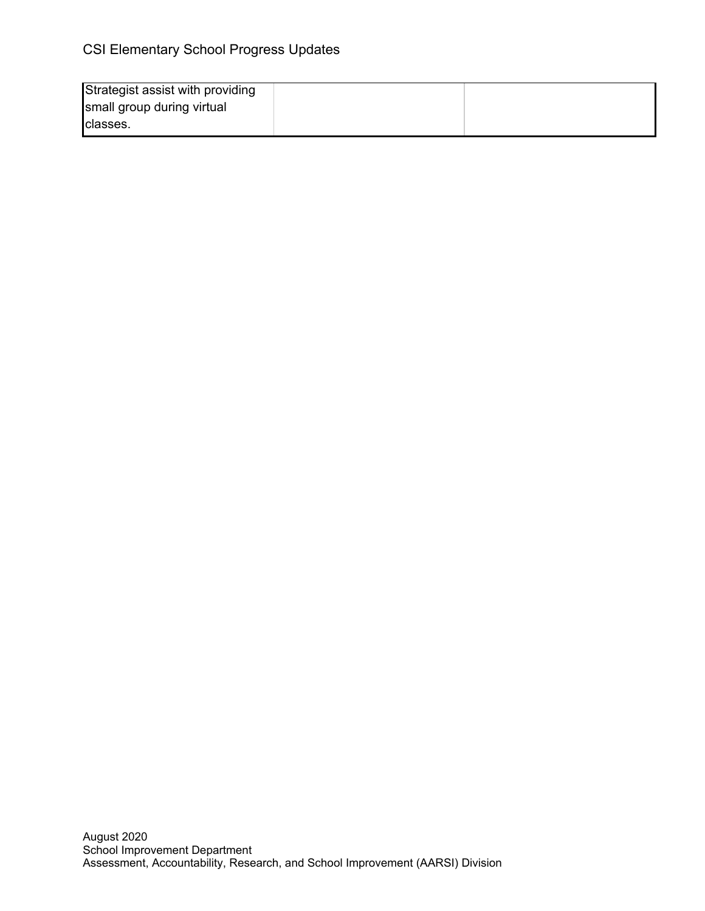| Strategist assist with providing |  |
|----------------------------------|--|
| small group during virtual       |  |
| Iclasses.                        |  |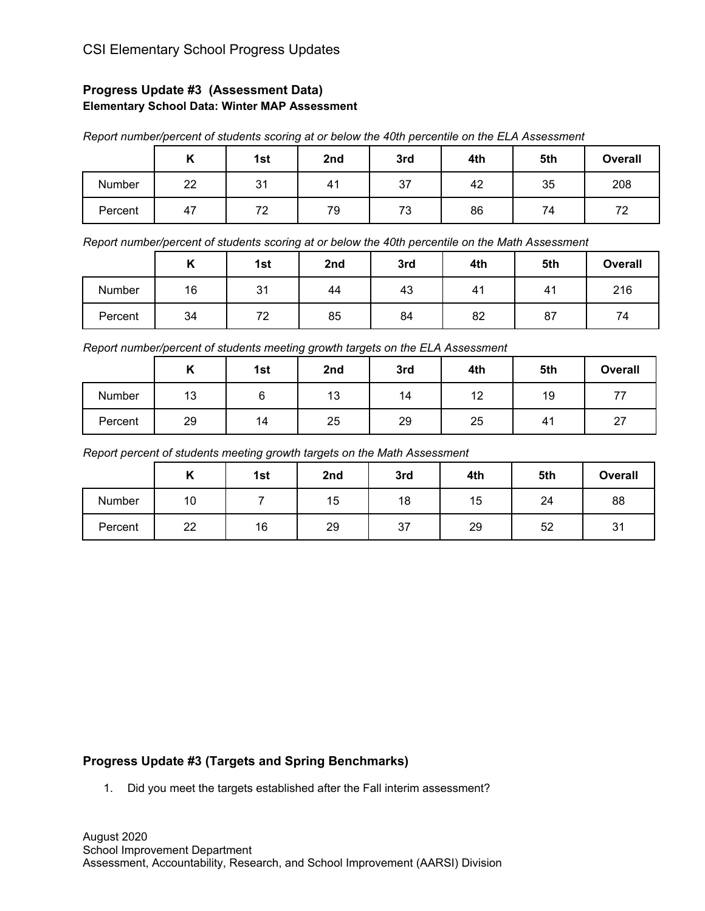## **Progress Update #3 (Assessment Data) Elementary School Data: Winter MAP Assessment**

|         |    | -   |     |     |     |     |                |
|---------|----|-----|-----|-----|-----|-----|----------------|
|         | "  | 1st | 2nd | 3rd | 4th | 5th | <b>Overall</b> |
| Number  | 22 | 31  | 41  | 37  | 42  | 35  | 208            |
| Percent | 47 | 72  | 79  | 73  | 86  | 74  | 72             |

*Report number/percent of students scoring at or below the 40th percentile on the ELA Assessment*

*Report number/percent of students scoring at or below the 40th percentile on the Math Assessment*

|         | $\cdot$ | 1st       | 2nd | 3rd | 4th | 5th | <b>Overall</b> |
|---------|---------|-----------|-----|-----|-----|-----|----------------|
| Number  | 16      | 31<br>ا ب | 44  | 43  | 41  | 41  | 216            |
| Percent | 34      | 72        | 85  | 84  | 82  | 87  | 74             |

*Report number/percent of students meeting growth targets on the ELA Assessment*

|         | .,<br>" | 1st | 2nd | 3rd | 4th | 5th | <b>Overall</b>     |
|---------|---------|-----|-----|-----|-----|-----|--------------------|
| Number  | 13      |     | 13  | 14  | 12  | 19  | 77                 |
| Percent | 29      | 14  | 25  | 29  | 25  | 41  | $\sim$<br>$\angle$ |

*Report percent of students meeting growth targets on the Math Assessment*

|         | . . | 1st | 2nd | 3rd | 4th | 5th | <b>Overall</b> |
|---------|-----|-----|-----|-----|-----|-----|----------------|
| Number  | 10  |     | 15  | 18  | 15  | 24  | 88             |
| Percent | 22  | 16  | 29  | 37  | 29  | 52  | 31             |

# **Progress Update #3 (Targets and Spring Benchmarks)**

1. Did you meet the targets established after the Fall interim assessment?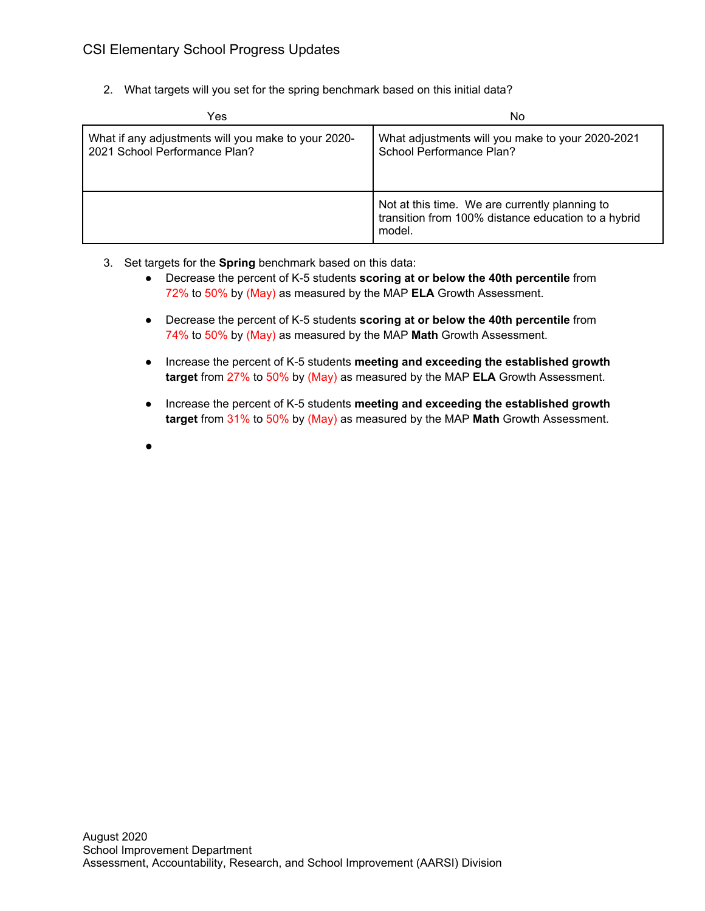2. What targets will you set for the spring benchmark based on this initial data?

| Yes                                                                                  | No                                                                                                              |  |
|--------------------------------------------------------------------------------------|-----------------------------------------------------------------------------------------------------------------|--|
| What if any adjustments will you make to your 2020-<br>2021 School Performance Plan? | What adjustments will you make to your 2020-2021<br>School Performance Plan?                                    |  |
|                                                                                      | Not at this time. We are currently planning to<br>transition from 100% distance education to a hybrid<br>model. |  |

- 3. Set targets for the **Spring** benchmark based on this data:
	- Decrease the percent of K-5 students **scoring at or below the 40th percentile** from 72% to 50% by (May) as measured by the MAP **ELA** Growth Assessment.
	- Decrease the percent of K-5 students **scoring at or below the 40th percentile** from 74% to 50% by (May) as measured by the MAP **Math** Growth Assessment.
	- Increase the percent of K-5 students **meeting and exceeding the established growth target** from 27% to 50% by (May) as measured by the MAP **ELA** Growth Assessment.
	- Increase the percent of K-5 students **meeting and exceeding the established growth target** from 31% to 50% by (May) as measured by the MAP **Math** Growth Assessment.
	- ●